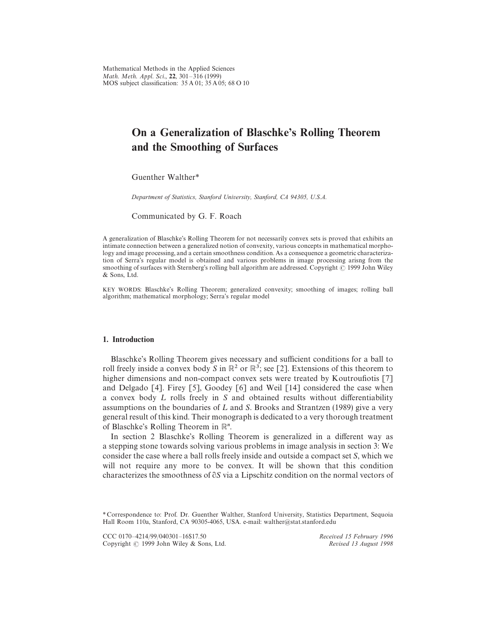Mathematical Methods in the Applied Sciences *Math*. *Meth*. *Appl*. *Sci*., 22, 301*—*316 (1999) MOS subject classification: 35 A 01; 35 A 05; 68 O 10

# On a Generalization of Blaschke's Rolling Theorem and the Smoothing of Surfaces

Guenther Walther*\**

*Department of Statistics, Stanford University, Stanford, CA 94305, U.S.A.*

Communicated by G. F. Roach

A generalization of Blaschke's Rolling Theorem for not necessarily convex sets is proved that exhibits an intimate connection between a generalized notion of convexity, various concepts in mathematical morphology and image processing, and a certain smoothness condition. As a consequence a geometric characterization of Serra's regular model is obtained and various problems in image processing arisng from the smoothing of surfaces with Sternberg's rolling ball algorithm are addressed. Copyright © 1999 John Wiley & Sons, Ltd.

KEY WORDS: Blaschke's Rolling Theorem; generalized convexity; smoothing of images; rolling ball algorithm; mathematical morphology; Serra's regular model

#### 1. Introduction

Blaschke's Rolling Theorem gives necessary and sufficient conditions for a ball to roll freely inside a convex body *S* in  $\mathbb{R}^2$  or  $\mathbb{R}^3$ ; see [2]. Extensions of this theorem to higher dimensions and non-compact convex sets were treated by Koutroufiotis [7] and Delgado [4]. Firey [5], Goodey [6] and Weil [14] considered the case when a convex body L rolls freely in S and obtained results without differentiability assumptions on the boundaries of  $L$  and  $S$ . Brooks and Strantzen (1989) give a very general result of this kind. Their monograph is dedicated to a very thorough treatment of Blaschke's Rolling Theorem in  $\mathbb{R}^n$ .

In section 2 Blaschke's Rolling Theorem is generalized in a different way as a stepping stone towards solving various problems in image analysis in section 3: We consider the case where a ball rolls freely inside and outside a compact set *S*, which we will not require any more to be convex. It will be shown that this condition characterizes the smoothness of  $\partial S$  via a Lipschitz condition on the normal vectors of

CCC 0170-4214/99/040301-16\$17.50 *Received 15 February 1996 Copyright* © 1999 John Wiley & Sons, Ltd. *Revised 13 August 1998* Copyright - 1999 John Wiley & Sons, Ltd. *Revised 13 August 1998*

*<sup>\*</sup>* Correspondence to: Prof. Dr. Guenther Walther, Stanford University, Statistics Department, Sequoia Hall Room 110a, Stanford, CA 90305-4065, USA. e-mail: walther@stat.stanford.edu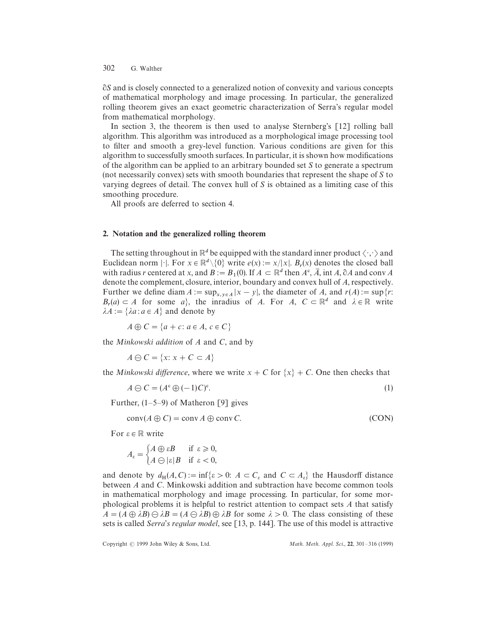-*S* and is closely connected to a generalized notion of convexity and various concepts of mathematical morphology and image processing. In particular, the generalized rolling theorem gives an exact geometric characterization of Serra's regular model from mathematical morphology.

In section 3, the theorem is then used to analyse Sternberg's [12] rolling ball algorithm. This algorithm was introduced as a morphological image processing tool to filter and smooth a grey-level function. Various conditions are given for this algorithm to successfully smooth surfaces. In particular, it is shown how modifications of the algorithm can be applied to an arbitrary bounded set *S* to generate a spectrum (not necessarily convex) sets with smooth boundaries that represent the shape of *S* to varying degrees of detail. The convex hull of *S* is obtained as a limiting case of this smoothing procedure.

All proofs are deferred to section 4.

## 2. Notation and the generalized rolling theorem

The setting throughout in  $\mathbb{R}^d$  be equipped with the standard inner product  $\langle \cdot, \cdot \rangle$  and Euclidean norm  $|\cdot|$ . For  $x \in \mathbb{R}^d \setminus \{0\}$  write  $e(x) := x/|x|$ .  $B_r(x)$  denotes the closed ball with radius *r* centered at *x*, and  $B := B_1(0)$ . If  $A \subset \mathbb{R}^d$  then  $A^c$ ,  $\overline{A}$ , int  $A$ ,  $\partial A$  and conv  $A$ denote the complement, closure, interior, boundary and convex hull of *A*, respectively. Further we define diam  $A := \sup_{x, y \in A} |x - y|$ , the diameter of *A*, and  $r(A) := \sup \{r :$  $B_r(a) \subset A$  for some *a*, the inradius of *A*. For *A*,  $C \subset \mathbb{R}^d$  and  $\lambda \in \mathbb{R}$  write  $\lambda A := \{\lambda a : a \in A\}$  and denote by

 $A \oplus C = \{a + c : a \in A, c \in C\}$ 

the *Minkowski addition* of *A* and *C*, and by

 $A \ominus C = \{x: x + C \subset A\}$ 

the *Minkowski difference*, where we write  $x + C$  for  $\{x\} + C$ . One then checks that

$$
A \ominus C = (A^c \oplus (-1)C)^c. \tag{1}
$$

Further, (1*—*5*—*9) of Matheron [9] gives

$$
conv(A \oplus C) = conv A \oplus conv C. \tag{CON}
$$

For  $\varepsilon \in \mathbb{R}$  write

$$
A_{\varepsilon} = \begin{cases} A \oplus \varepsilon B & \text{if } \varepsilon \ge 0, \\ A \ominus |\varepsilon| B & \text{if } \varepsilon < 0, \end{cases}
$$

and denote by  $d_H(A, C) := \inf \{ \varepsilon > 0: A \subset C_{\varepsilon} \text{ and } C \subset A_{\varepsilon} \}$  the Hausdorff distance between *A* and *C*. Minkowski addition and subtraction have become common tools in mathematical morphology and image processing. In particular, for some morphological problems it is helpful to restrict attention to compact sets *A* that satisfy  $A = (A \oplus \lambda B) \oplus \lambda B = (A \oplus \lambda B) \oplus \lambda B$  for some  $\lambda > 0$ . The class consisting of these sets is called *Serra*'*s regular model*, see [13, p. 144]. The use of this model is attractive

Copyright  $\odot$  1999 John Wiley & Sons, Ltd.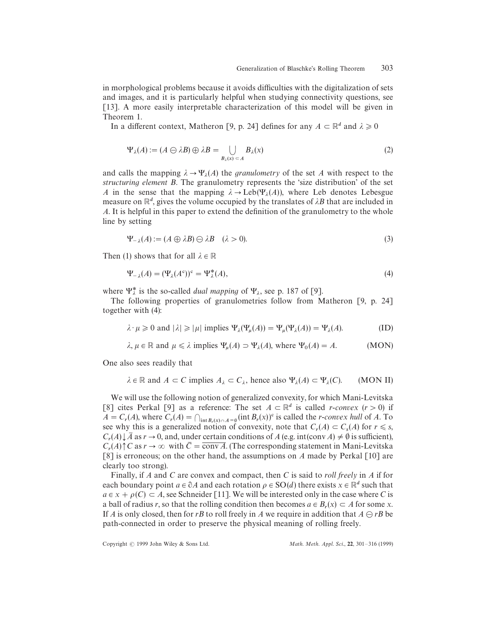in morphological problems because it avoids difficulties with the digitalization of sets and images, and it is particularly helpful when studying connectivity questions, see [13]. A more easily interpretable characterization of this model will be given in Theorem 1.

In a different context, Matheron [9, p. 24] defines for any  $A \subset \mathbb{R}^d$  and  $\lambda \geq 0$ 

$$
\Psi_{\lambda}(A) := (A \ominus \lambda B) \oplus \lambda B = \bigcup_{B_{\lambda}(x) \subset A} B_{\lambda}(x)
$$
\n(2)

and calls the mapping  $\lambda \rightarrow \Psi_{\lambda}(A)$  the *granulometry* of the set *A* with respect to the *structuring element B*. The granulometry represents the 'size distribution' of the set *A* with respect to the *A* in the sense that the mapping  $\lambda \rightarrow$  Leb( $\Psi_{\lambda}(A)$ ), where Leb denotes Lebesgue measure on  $\mathbb{R}^d$ , gives the volume occupied by the translates of  $\lambda B$  that are included in *A*. It is helpful in this paper to extend the definition of the granulometry to the whole line by setting

$$
\Psi_{-\lambda}(A) := (A \oplus \lambda B) \oplus \lambda B \quad (\lambda > 0). \tag{3}
$$

Then (1) shows that for all  $\lambda \in \mathbb{R}$ 

$$
\Psi_{-\lambda}(A) = (\Psi_{\lambda}(A^c))^c = \Psi_{\lambda}^*(A),\tag{4}
$$

where  $\Psi_{\lambda}^{*}$  is the so-called *dual mapping* of  $\Psi_{\lambda}$ , see p. 187 of [9].<br>The following proporties of grapplemetries follow from M

The following properties of granulometries follow from Matheron [9, p. 24] together with (4):

$$
\lambda \cdot \mu \ge 0 \text{ and } |\lambda| \ge |\mu| \text{ implies } \Psi_{\lambda}(\Psi_{\mu}(A)) = \Psi_{\mu}(\Psi_{\lambda}(A)) = \Psi_{\lambda}(A). \tag{ID}
$$

$$
\lambda, \mu \in \mathbb{R}
$$
 and  $\mu \le \lambda$  implies  $\Psi_{\mu}(A) \supset \Psi_{\lambda}(A)$ , where  $\Psi_0(A) = A$ . (MON)

One also sees readily that

$$
\lambda \in \mathbb{R}
$$
 and  $A \subset C$  implies  $A_{\lambda} \subset C_{\lambda}$ , hence also  $\Psi_{\lambda}(A) \subset \Psi_{\lambda}(C)$ . (MON II)

We will use the following notion of generalized convexity, for which Mani-Levitska [8] cites Perkal [9] as a reference: The set  $A \subset \mathbb{R}^d$  is called *r*-*convex* (*r* > 0) if  $A = C_r(A)$ , where  $C_r(A) = \bigcap_{\text{int } B_r(x) \cap A = \emptyset} (\text{int } B_r(x))^c$  is called the *r*-*convex hull* of *A*. To see why this is a generalized notion of convexity, note that  $C_r(A) \subset C_s(A)$  for  $r \le s$ ,  $C_r(A) \downarrow \overline{A}$  as  $r \to 0$ , and, under certain conditions of *A* (e.g. int(conv *A*)  $\neq \emptyset$  is sufficient),  $C_r(A) \uparrow C$  as  $r \to \infty$  with  $\overline{C} = \overline{\text{conv }A}$ . (The corresponding statement in Mani-Levitska [8] is erroneous; on the other hand, the assumptions on *A* made by Perkal [10] are clearly too strong).

Finally, if *A* and *C* are convex and compact, then *C* is said to *roll freely* in *A* if for each boundary point  $a \in \partial A$  and each rotation  $\rho \in SO(d)$  there exists  $x \in \mathbb{R}^d$  such that  $a \in x + \rho(C) \subset A$ , see Schneider [11]. We will be interested only in the case where *C* is a ball of radius *r*, so that the rolling condition then becomes  $a \in B_r(x) \subset A$  for some *x*. If *A* is only closed, then for *rB* to roll freely in *A* we require in addition that  $A \ominus rB$  be path-connected in order to preserve the physical meaning of rolling freely.

Copyright  $\odot$  1999 John Wiley & Sons Ltd.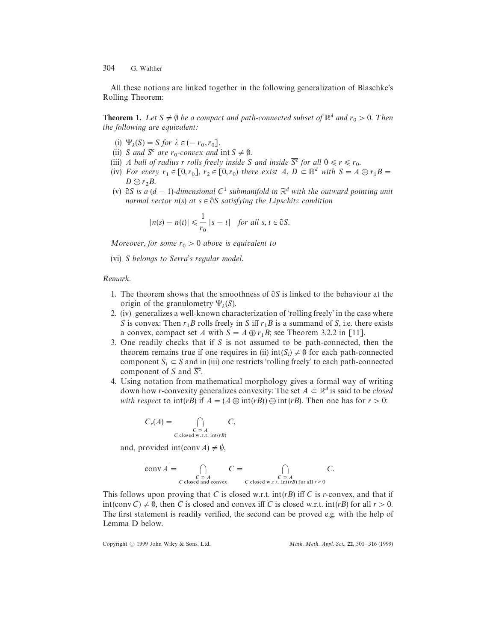All these notions are linked together in the following generalization of Blaschke's Rolling Theorem:

**Theorem 1.** Let  $S \neq \emptyset$  be a compact and path-connected subset of  $\mathbb{R}^d$  and  $r_0 > 0$ . Then *the following are equivalent:*

- (i)  $\Psi_{\lambda}(S) = S$  for  $\lambda \in (-r_0, r_0].$
- (i)  $S$  and  $\overline{S}^c$  are  $r_0$ -convex and int  $S \neq \emptyset$ .
- (iii) *A ball of radius r rolls freely inside S and inside*  $\overline{S}^c$  *for all*  $0 \le r \le r_0$ .
- (iv) *For every*  $r_1 \in [0, r_0]$ ,  $r_2 \in [0, r_0)$  there exist A,  $D \subset \mathbb{R}^d$  with  $S = A \oplus r_1 B =$  $D \ominus r_2B$ .
- (v)  $\partial S$  is a (d 1)-dimensional C<sup>1</sup> submanifold in  $\mathbb{R}^d$  with the outward pointing unit *normal vector n*(*s*) *at s* ∈ ∂*S satisfying the Lipschitz condition*

$$
|n(s) - n(t)| \leq \frac{1}{r_0} |s - t| \quad \text{for all } s, t \in \partial S.
$$

*Moreover, for some*  $r_0 > 0$  *above is equivalent to* 

(vi) *S belongs to Serra*'*s regular model*.

#### *Remark*.

- 1. The theorem shows that the smoothness of  $\partial S$  is linked to the behaviour at the origin of the granulometry  $\Psi_{\lambda}(S)$ .
- $2.$  (iv) generalizes a well-known characterization of 'rolling freely' in the case where *S* is convex: Then  $r_1B$  rolls freely in *S* iff  $r_1B$  is a summand of *S*, i.e. there exists a convex, compact set *A* with  $S = A \oplus r_1 B$ ; see Theorem 3.2.2 in [11].
- 3. One readily checks that if *S* is not assumed to be path-connected, then the theorem remains true if one requires in (ii)  $int(S_i) \neq \emptyset$  for each path-connected component  $S_i \subset S$  and in (iii) one restricts 'rolling freely' to each path-connected component of *S* and  $\overline{S^c}$ .
- 4. Using notation from mathematical morphology gives a formal way of writing down how *r*-convexity generalizes convexity: The set  $A \subset \mathbb{R}^d$  is said to be *closed with respect* to  $int(rB)$  if  $A = (A \oplus int(rB)) \oplus int(rB)$ . Then one has for  $r > 0$ :

$$
C_r(A) = \bigcap_{\substack{C \supseteq A \\ C \text{ closed w.r.t. int}(rB)}} C,
$$

and, provided int(conv *A*)  $\neq \emptyset$ ,

$$
\overline{\text{conv }A} = \bigcap_{\substack{C \supset A \\ C \text{ closed and convex}}} C = \bigcap_{\substack{C \supset A \\ C \text{ closed w.r.t. } \text{int}(rB) \text{ for all } r > 0}} C.
$$

This follows upon proving that *C* is closed w.r.t. int(*rB*) iff *C* is *r*-convex, and that if  $int(\text{conv } C) \neq \emptyset$ , then *C* is closed and convex iff *C* is closed w.r.t.  $int(rB)$  for all  $r > 0$ . The first statement is readily verified, the second can be proved e.g. with the help of Lemma D below.

Copyright  $\odot$  1999 John Wiley & Sons, Ltd.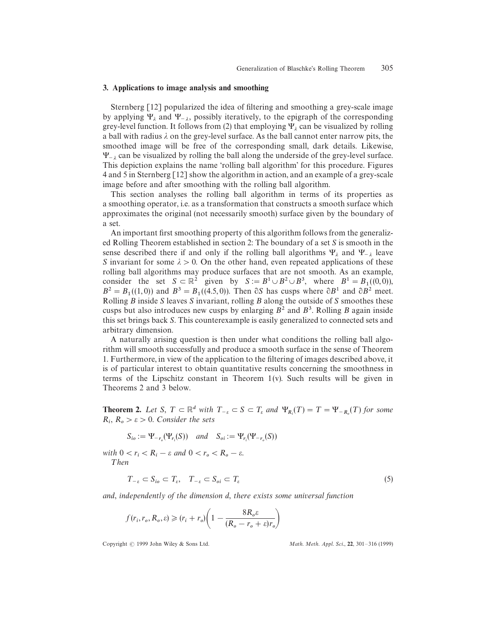### 3. Applications to image analysis and smoothing

Sternberg [12] popularized the idea of filtering and smoothing a grey-scale image by applying  $\Psi_{\lambda}$  and  $\Psi_{-\lambda}$ , possibly iteratively, to the epigraph of the corresponding<br>grow layel function. It follows from (2) that employing  $\Pi_{\lambda}$  are has visualized by politice grey-level function. It follows from (2) that employing  $\Psi_{\lambda}$  can be visualized by rolling energy-level function. It follows from (2) that employing  $\Psi_{\lambda}$  can be visualized by rolling a ball with radius  $\lambda$  on the grey-level surface. As the ball cannot enter narrow pits, the smoothed image will be free of the corresponding small, dark details. Likewise,  $\Psi_{-\lambda}$  can be visualized by rolling the ball along the underside of the grey-level surface.<br>This depiction evaluate the name 'rolling hall algorithm' for this procedure. Figures This depiction explains the name 'rolling ball algorithm' for this procedure. Figures 4 and 5 in Sternberg [12] show the algorithm in action, and an example of a grey-scale image before and after smoothing with the rolling ball algorithm.

This section analyses the rolling ball algorithm in terms of its properties as a smoothing operator, i.e. as a transformation that constructs a smooth surface which approximates the original (not necessarily smooth) surface given by the boundary of a set.

An important first smoothing property of this algorithm follows from the generalized Rolling Theorem established in section 2: The boundary of a set *S* is smooth in the sense described there if and only if the rolling ball algorithms  $\Psi_{\lambda}$  and  $\Psi_{-\lambda}$  leave *S* invariant for some  $\lambda > 0$ . On the other hand, even repeated applications of these rolling ball algorithms may produce surfaces that are not smooth. As an example, consider the set  $S \subset \mathbb{R}^2$  given by  $S := B^1 \cup B^2 \cup B^3$ , where  $B^1 = B_1((0,0))$ ,  $B^2 = B_1((1,0))$  and  $B^3 = B_1((4.5,0))$ . Then  $\partial S$  has cusps where  $\partial B^1$  and  $\partial B^2$  meet. Rolling *B* inside *S* leaves *S* invariant, rolling *B* along the outside of *S* smoothes these cusps but also introduces new cusps by enlarging  $B^2$  and  $B^3$ . Rolling *B* again inside this set brings back *S*. This counterexample is easily generalized to connected sets and arbitrary dimension.

A naturally arising question is then under what conditions the rolling ball algorithm will smooth successfully and produce a smooth surface in the sense of Theorem 1. Furthermore, in view of the application to the filtering of images described above, it is of particular interest to obtain quantitative results concerning the smoothness in terms of the Lipschitz constant in Theorem  $1(v)$ . Such results will be given in Theorems 2 and 3 below.

**Theorem 2.** Let S,  $T \subset \mathbb{R}^d$  with  $T_{-\varepsilon} \subset S \subset T_{\varepsilon}$  and  $\Psi_{R_i}(T) = T = \Psi_{-R_i}(T)$  for some  $R_i, R_o > \varepsilon > 0$ . *Consider the sets* 

$$
S_{io} := \Psi_{-r_o}(\Psi_{r_i}(S)) \quad and \quad S_{oi} := \Psi_{r_i}(\Psi_{-r_o}(S))
$$

 $\text{with } 0 < r_i < R_i - \varepsilon \text{ and } 0 < r_o < R_o - \varepsilon.$ ¹*hen*

$$
T_{-\varepsilon} \subset S_{i\sigma} \subset T_{\varepsilon}, \quad T_{-\varepsilon} \subset S_{\sigma i} \subset T_{\varepsilon} \tag{5}
$$

*and*, *independently of the dimension d*, *there exists some universal function*

$$
f(r_i, r_o, R_o, \varepsilon) \ge (r_i + r_o) \left( 1 - \frac{8R_o \varepsilon}{(R_o - r_o + \varepsilon)r_o} \right)
$$

Copyright  $\odot$  1999 John Wiley & Sons Ltd.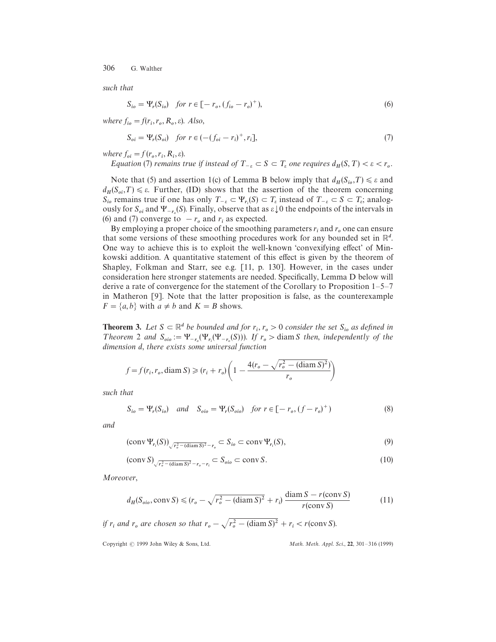*such that*

$$
S_{io} = \Psi_r(S_{io}) \text{ for } r \in [-r_o, (f_{io} - r_o)^+), \tag{6}
$$

where  $f_{io} = f(r_i, r_o, R_o, \varepsilon)$ . *Also*,

$$
S_{oi} = \Psi_r(S_{oi}) \text{ for } r \in (-(f_{oi} - r_i)^+, r_i],
$$
\n(7)

*where*  $f_{oi} = f(r_o, r_i, R_i, \varepsilon)$ .

*Equation* (7) *remains true if instead of*  $T_{-\varepsilon} \subset S \subset T_{\varepsilon}$  *one requires*  $d_H(S, T) < \varepsilon < r_o$ .

Note that (5) and assertion 1(c) of Lemma B below imply that  $d_H(S_{io}, T) \le \varepsilon$  and  $d_H(S_{oi}, T) \leq \varepsilon$ . Further, (ID) shows that the assertion of the theorem concerning  $S_{io}$  remains true if one has only  $T_{-\varepsilon} \subset \Psi_{r_i}(S) \subset T_{\varepsilon}$  instead of  $T_{-\varepsilon} \subset S \subset T_{\varepsilon}$ ; analog-<br>cyclu for  $S_{-}$  and  $\Psi_{-}$  (*S*). Einelly, absence that as a l.0 the andmainta of the intervals in  $S_{i_0}$  remains the *n* one has only  $T_{-\varepsilon} \subseteq T_{r_i}(S) \subseteq T_{\varepsilon}$  instead of  $T_{-\varepsilon} \subseteq S \subseteq T_{\varepsilon}$ , analogies<br>ously for  $S_{oi}$  and  $\Psi_{-r_o}(S)$ . Finally, observe that as  $\varepsilon \downarrow 0$  the endpoints of the intervals in (6) and (7) converge to  $-r_o$  and  $r_i$  as expected.

By employing a proper choice of the smoothing parameters  $r_i$  and  $r_o$  one can ensure that some versions of these smoothing procedures work for any bounded set in  $\mathbb{R}^d$ . One way to achieve this is to exploit the well-known 'convexifying effect' of Minkowski addition. A quantitative statement of this effect is given by the theorem of Shapley, Folkman and Starr, see e.g. [11, p. 130]. However, in the cases under consideration here stronger statements are needed. Specifically, Lemma D below will derive a rate of convergence for the statement of the Corollary to Proposition 1*—*5*—*7 in Matheron [9]. Note that the latter proposition is false, as the counterexample  $F = \{a, b\}$  with  $a \neq b$  and  $K = B$  shows.

**Theorem 3.** Let  $S \subset \mathbb{R}^d$  be bounded and for  $r_i$ ,  $r_o > 0$  consider the set  $S_{io}$  as defined in *Theorem* 2 *and*  $S_{\text{oio}} := \Psi_{-r_o}(\Psi_{r_i}(\Psi_{-r_o}(S)))$ . If  $r_o > \text{diam } S$  then, *independently of the dimension d*, *there exists some universal function*

$$
f = f(r_i, r_o, \text{diam } S) \ge (r_i + r_o) \left( 1 - \frac{4(r_o - \sqrt{r_o^2 - (\text{diam } S)^2})}{r_o} \right)
$$

*such that*

$$
S_{io} = \Psi_r(S_{io}) \quad and \quad S_{oio} = \Psi_r(S_{oio}) \quad \text{for } r \in [-r_o, (f - r_o)^+) \tag{8}
$$

*and*

$$
(\operatorname{conv}\Psi_{r_i}(S))_{\sqrt{r_o^2 - (\operatorname{diam} S)^2} - r_o} \subset S_{io} \subset \operatorname{conv}\Psi_{r_i}(S),\tag{9}
$$

$$
(\operatorname{conv} S)_{\sqrt{r_o^2 - (\operatorname{diam} S)^2} - r_o - r_i} \subset S_{\text{oio}} \subset \operatorname{conv} S. \tag{10}
$$

*Moreover*,

$$
d_H(S_{\text{oio}}, \text{conv } S) \le (r_o - \sqrt{r_o^2 - (\text{diam } S)^2} + r_i) \frac{\text{diam } S - r(\text{conv } S)}{r(\text{conv } S)}
$$
(11)

*if*  $r_i$  and  $r_o$  are chosen so that  $r_o - \sqrt{r_o^2 - (\text{diam } S)^2 + r_i} < r(\text{conv } S)$ .

Copyright  $\odot$  1999 John Wiley & Sons, Ltd.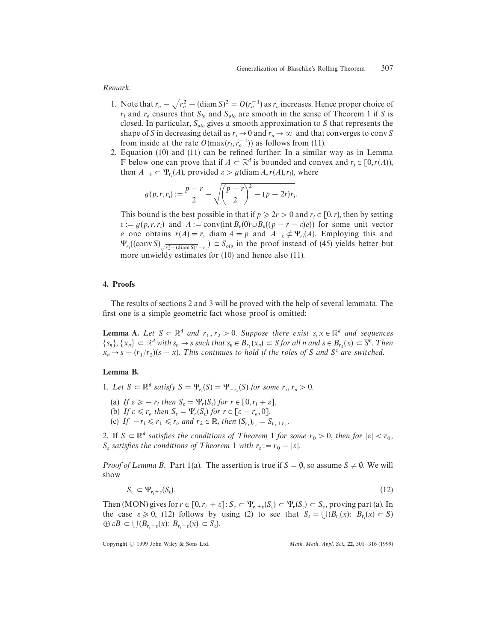*Remark*.

- 1. Note that  $r_o \sqrt{r_o^2 (\text{diam } S)^2} = O(r_o^{-1})$  as  $r_o$  increases. Hence proper choice of  $r_i$  and  $r_o$  ensures that  $S_{io}$  and  $S_{oio}$  are smooth in the sense of Theorem 1 if *S* is closed. In particular,  $S_{\text{oio}}$  gives a smooth approximation to *S* that represents the shape of *S* in decreasing detail as  $r_i \to 0$  and  $r_o \to \infty$  and that converges to conv *S* from inside at the rate  $O(\max(r_i, r_o^{-1}))$  as follows from (11).
- 2. Equation (10) and (11) can be refined further: In a similar way as in Lemma F below one can prove that if  $A \subset \mathbb{R}^d$  is bounded and convex and  $r_i \in [0, r(A))$ , then  $A_{-\varepsilon} \subset \Psi_{r_i}(A)$ , provided  $\varepsilon > g(\text{diam } A, r(A), r_i)$ , where

$$
g(p,r,r_i) := \frac{p-r}{2} - \sqrt{\left(\frac{p-r}{2}\right)^2 - (p-2r)r_i}.
$$

This bound is the best possible in that if  $p \ge 2r > 0$  and  $r_i \in [0, r)$ , then by setting  $\varepsilon := g(p, r, r_i)$  and  $A := \text{conv}(\text{int } B_r(0) \cup B_s((p - r - \varepsilon)e))$  for some unit vector *e* one obtains  $r(A) = r$ , diam  $A = p$  and  $A_{-\varepsilon} \notin \Psi_{r_i}(A)$ . Employing this and  $\Psi_{r_i}((\text{conv } S)_{\sqrt{r_o^2 - (\text{diam } S)^2} - r_o}) \subset S_{olo}$  in the proof instead of (45) yields better but more unwieldy estimates for (10) and hence also (11).

#### 4. Proofs

The results of sections 2 and 3 will be proved with the help of several lemmata. The first one is a simple geometric fact whose proof is omitted:

**Lemma A.** Let  $S \subseteq \mathbb{R}^d$  and  $r_1, r_2 > 0$ . Suppose there exist  $s, x \in \mathbb{R}^d$  and sequences  $\{s_n\}, \{x_n\} \subset \mathbb{R}^d$  with  $s_n \to s$  such that  $s_n \in B_r$ ,  $(x_n) \subset S$  for all n and  $s \in B_{r_2}(x) \subset \overline{S^c}$ . Then  $x_n \to s + (r_1/r_2)(s - x)$ . This continues to hold if the roles of S and  $\overline{S}^c$  are switched.

## Lemma B.

- 1. Let  $S \subset \mathbb{R}^d$  satisfy  $S = \Psi_{r_i}(S) = \Psi_{-r_o}(S)$  for some  $r_i, r_o > 0$ .
	- (a) If  $\varepsilon \geq -r_i$  then  $S_{\varepsilon} = \Psi_r(S_{\varepsilon})$  for  $r \in [0, r_i + \varepsilon]$ .<br>
	(b) If  $\varepsilon \leq r_i$  then  $S_{\varepsilon} = \Psi_r(S_{\varepsilon})$  for  $r_i \in [0, r_i + \varepsilon]$ .
	- (a) *If*  $\varepsilon \le r_0$  then  $S_{\varepsilon} = \Psi_r(S_{\varepsilon})$  for  $r \in [\varepsilon r_0, 0]$ .<br>
	(b) *If*  $\varepsilon \le r_0$  then  $S_{\varepsilon} = \Psi_r(S_{\varepsilon})$  for  $r \in [\varepsilon r_0, 0]$ .
	- (c) *If*  $-r_i \le r_1 \le r_o$  and  $r_2 \in \mathbb{R}$ , then  $(S_{r_1})_{r_2} = S_{r_1+r_2}$ .
- 2. If  $S \subset \mathbb{R}^d$  satisfies the conditions of Theorem 1 for some  $r_0 > 0$ , then for  $|\varepsilon| < r_0$ ,  $S_{\varepsilon}$  *satisfies the conditions of Theorem* 1 *with*  $r_{\varepsilon} := r_0 - |\varepsilon|$ *.*

*Proof of Lemma B.* Part 1(a). The assertion is true if  $S = \emptyset$ , so assume  $S \neq \emptyset$ . We will show

$$
S_{\varepsilon} \subset \Psi_{r_i + \varepsilon}(S_{\varepsilon}). \tag{12}
$$

Then (MON) gives for  $r \in [0, r_i + \varepsilon]$ :  $S_{\varepsilon} \subset \Psi_{r_i + \varepsilon}(S_{\varepsilon}) \subset \Psi_r(S_{\varepsilon}) \subset S_{\varepsilon}$ , proving part (a). In Then (*MOT*) gives for  $r \in [0, r_i + 0]$ .  $B_{\varepsilon} \subseteq T_{r_i + \varepsilon}(B_{\varepsilon}) \subseteq T_{r_i \cup \varepsilon} \subseteq B_{\varepsilon}$ , proving part (a). In<br>the case  $\varepsilon \ge 0$ , (12) follows by using (2) to see that  $S_{\varepsilon} = \bigcup (B_{r_i}(x): B_{r_i}(x) \subseteq S)$  $\bigoplus$   $\epsilon B \subset \bigcup (B_{r_i+\epsilon}(x))$ :  $B_{r_i+\epsilon}(x) \subset S_{\epsilon}$ ).

Copyright  $\odot$  1999 John Wiley & Sons Ltd.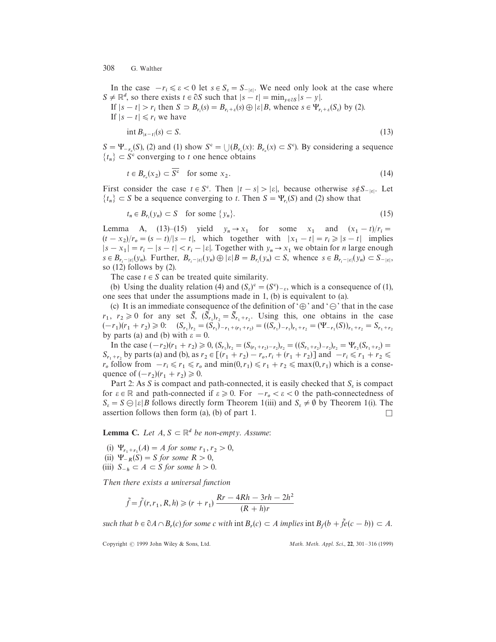In the case  $-r_i \leq \varepsilon < 0$  let  $s \in S_{\varepsilon} = S_{-|\varepsilon|}$ . We need only look at the case where  $S \neq \mathbb{R}^d$ , so there exists  $t \in \partial S$  such that  $|s - t| = \min_{y \in \partial S} |s - y|$ .

If  $|s - t| > r_i$  then  $S \supset B_{r_i}(s) = B_{r_i + \varepsilon}(s) \oplus |\varepsilon| B$ , whence  $s \in \Psi_{r_i + \varepsilon}(S_{\varepsilon})$  by (2). If  $|s - t| \le r_i$  we have

$$
\text{int }B_{|s-t|}(s) \subset S. \tag{13}
$$

 $S = \Psi_{-r_o}(S)$ , (2) and (1) show  $S^c = \bigcup (B_{r_o}(x): B_{r_o}(x) \subset S^c)$ . By considering a sequence  ${t_n} \subset S^c$  converging to *t* one hence obtains

$$
t \in B_{r_o}(x_2) \subset \overline{S^c} \quad \text{for some } x_2. \tag{14}
$$

First consider the case  $t \in S^c$ . Then  $|t - s| > |\varepsilon|$ , because otherwise  $s \notin S_{-|\varepsilon|}$ . Let  $\{t_n\} \subset S$  be a sequence converging to *t*. Then  $S = \Psi_{r_i}(S)$  and (2) show that

$$
t_n \in B_{r_i}(y_n) \subset S \quad \text{for some } \{y_n\}. \tag{15}
$$

Lemma A, (13)–(15) yield  $y_n \to x_1$  for some  $x_1$  and  $(x_1 - t)/r_i =$  $(t - x_2)/r_o = (s - t)/|s - t|$ , which together with  $|x_1 - t| = r_i \ge |s - t|$  implies  $|s - x_1| = r_i - |s - t| < r_i - |\varepsilon|$ . Together with  $y_n \to x_1$  we obtain for *n* large enough  $s \in B_{r_i-|\varepsilon|}(y_n)$ . Further,  $B_{r_i-|\varepsilon|}(y_n) \oplus |\varepsilon|B = B_{r_i}(y_n) \subset S$ , whence  $s \in B_{r_i-|\varepsilon|}(y_n) \subset S_{-|\varepsilon|}$ , so (12) follows by (2).

The case  $t \in S$  can be treated quite similarity.

(b) Using the duality relation (4) and  $(S_e)^c = (S^c)_{-e}$ , which is a consequence of (1), one sees that under the assumptions made in 1, (b) is equivalent to (a).

(c) It is an immediate consequence of the definition of  $\Theta$  and  $\Theta$  that in the case  $r_1, r_2 \ge 0$  for any set  $\tilde{S}$ ,  $(\tilde{S}_{r_1})_{r_2} = \tilde{S}_{r_1+r_2}$ . Using this, one obtains in the case  $(-r_1)(r_1 + r_2) \ge 0$ :  $(S_{r_1})_{r_2} = (S_{r_1})_{-r_1 + (r_1 + r_2)} = ((S_{r_1})_{-r_1})_{r_1 + r_2} = (\Psi_{-r_1}(S))_{r_1 + r_2} = S_{r_1 + r_2}$ <br>by parts (a) and (b) with  $\varepsilon = 0$ .

In the case  $(-r_2)(r_1 + r_2) \ge 0$ ,  $(S_{r_1})_{r_2} = (S_{(r_1+r_2)-r_2})_{r_2} = ((S_{r_1+r_2})_{-r_2})_{r_2} = \Psi_{r_2}(S_{r_1+r_2}) =$  $S_{r_1+r_2}$  by parts (a) and (b), as  $r_2 \in [(r_1+r_2)-r_o, r_i+(r_1+r_2)]$  and  $-r_i \le r_1+r_2 \le r_2$  $r_o$  follow from  $-r_i \le r_1 \le r_o$  and  $\min(0, r_1) \le r_1 + r_2 \le \max(0, r_1)$  which is a consequence of  $(-r_2)(r_1 + r_2) \ge 0$ .

Part 2: As *S* is compact and path-connected, it is easily checked that  $S_{\varepsilon}$  is compact Fatt 2. As b is compact and path-connected, it is easily enceived that  $B_{\varepsilon}$  is compact<br>for  $\varepsilon \in \mathbb{R}$  and path-connected if  $\varepsilon \ge 0$ . For  $-r_o < \varepsilon < 0$  the path-connectedness of  $S_{\varepsilon} = S \ominus |\varepsilon| B$  follows directly form Theorem 1(iii) and  $S_{\varepsilon} \neq \emptyset$  by Theorem 1(i). The  $B_{\varepsilon} = B \cup [c|B]$  follows directly form Theorem T(iii) and  $B_{\varepsilon} \neq \emptyset$  by Theorem T(i). The assertion follows then form (a), (b) of part 1.

**Lemma C.** Let  $A, S \subset \mathbb{R}^d$  be non-empty. Assume:

(i)  $\Psi_{r_1+r_1}(A) = A$  for some  $r_1, r_2 > 0$ , (ii)  $\Psi_{-R}(S) = S$  for some  $R > 0$ , (iii)  $S_{-h} \subset A \subset S$  *for some*  $h > 0$ .

*Then there exists a universal function* 

$$
\tilde{f} = \tilde{f}(r, r_1, R, h) \ge (r + r_1) \frac{Rr - 4Rh - 3rh - 2h^2}{(R + h)r}
$$

such that  $b \in \partial A \cap B_r(c)$  for some c with int  $B_r(c) \subset A$  implies int  $B_f(b + \tilde{f}e(c - b)) \subset A$ .

Copyright  $\odot$  1999 John Wiley & Sons, Ltd.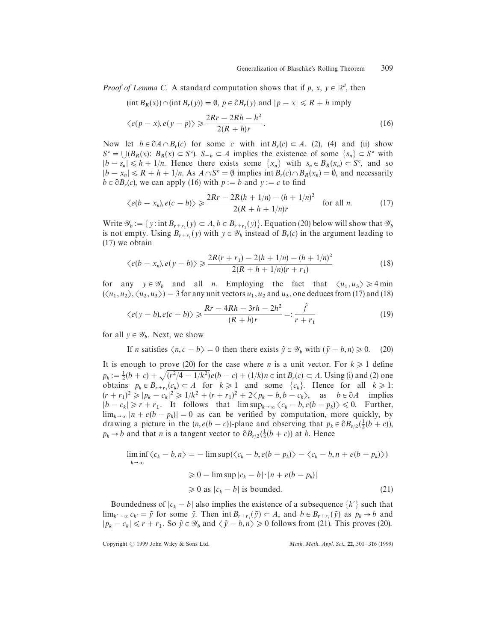*Proof of Lemma C.* A standard computation shows that if  $p$ ,  $x$ ,  $y \in \mathbb{R}^d$ , then

(int 
$$
B_R(x)
$$
)  $\cap$  (int  $B_r(y)$ ) =  $\emptyset$ ,  $p \in \partial B_r(y)$  and  $|p - x| \le R + h$  imply  
 $\langle e(p - x), e(y - p) \rangle \ge \frac{2Rr - 2Rh - h^2}{2(P - h^2)}$ .

$$
\langle e(p-x), e(y-p) \rangle \ge \frac{2\pi\sqrt{2\pi n}}{2(R+h)r}.
$$
\n(16)

\n(17)

\n(18)

\n(19)

\n(19)

\n(19)

\n(19)

\n(10)

\n(11)

\n(12)

\n(13)

\n(14)

\n(16)

\n(17)

\n(18)

\n(19)

\n(19)

\n(10)

\n(11)

\n(12)

\n(14)

\n(16)

\n(16)

\n(17)

\n(18)

\n(19)

\n(19)

\n(10)

\n(11)

\n(12)

\n(14)

\n(16)

\n(19)

\n(19)

\n(10)

\n(11)

\n(12)

\n(14)

\n(15)

\n(16)

\n(17)

\n(19)

\n(19)

\n(10)

\n(11)

\n(12)

\n(14)

\n(16)

\n(19)

\n(19)

\n(10)

\n(11)

\n(12)

\n(14)

\n(15)

\n(16)

\n(19)

\n(19)

\n(11)

\n(11)

\n(12)

\n(13)

\n(14)

\n(15)

\n(16)

\n(16)

\n(17)

\n(19)

\n(19)

\n(10)

\n(11)

\n(12)

\n(14)

\n(15)

\n(16)

\n(19)

\n(19)

\n(10)

\n(11)

\n(12)

\n(13)

\n(14)

\n(15)

\n(16)

\n(17)

\n(19)

\n(19)

\n(11)

\n(11)

\n(12)

\n(

Now Now let  $b \in \partial A \cap B_r(c)$  for some *c* with int  $B_r(c) \subset A$ . (2), (4) and (ii) show  $S^c = \bigcup (B_R(x) : B_R(x) \subset S^c)$ .  $S_{-h} \subset A$  implies the existence of some  $\{s_n\} \subset S^c$  with  $|b - s_n| \le h + 1/n$ . Hence there exists some  $\{x_n\}$  with  $s_n \in B_R(x_n) \subset S^c$ , and so  $|b - x_n| \le R + h + 1/n$ . As  $A \cap S^c = \emptyset$  implies int  $B_r(c) \cap B_R(x_n) = \emptyset$ , and necessarily  $b \in \partial B_r(c)$ , we can apply (16) with  $p := b$  and  $y := c$  to find

$$
\langle e(b - x_n), e(c - b) \rangle \ge \frac{2Rr - 2R(h + 1/n) - (h + 1/n)^2}{2(R + h + 1/n)r} \quad \text{for all } n. \tag{17}
$$

Write  $\mathcal{Y}_b := \{y : \text{int } B_{r+r_1}(y) \subset A, b \in B_{r+r_1}(y)\}.$  Equation (20) below will show that  $\mathcal{Y}_b$ is not empty. Using  $B_{r+r_1}(y)$  with  $y \in \mathcal{Y}_b$  instead of  $B_r(c)$  in the argument leading to (17) we obtain

$$
\langle e(b-x_n), e(y-b) \rangle \geq \frac{2R(r+r_1) - 2(h+1/n) - (h+1/n)^2}{2(R+h+1/n)(r+r_1)}
$$
(18)

for any  $y \in \mathcal{Y}_b$  and all *n*. Employing the fact that  $\langle u_1, u_3 \rangle \ge 4$  min  $(\langle u_1, u_2 \rangle, \langle u_2, u_3 \rangle) - 3$  for any unit vectors  $u_1, u_2$  and  $u_3$ , one deduces from (17) and (18)

$$
\langle e(y-b), e(c-b) \rangle \geqslant \frac{Rr - 4Rh - 3rh - 2h^2}{(R+h)r} =: \frac{\tilde{f}}{r+r_1}
$$
\n<sup>(19)</sup>

for all  $y \in \mathscr{Y}_b$ . Next, we show

If *n* satisfies  $\langle n, c - b \rangle = 0$  then there exists  $\tilde{y} \in \mathcal{Y}_b$  with  $(\tilde{y} - b, n) \ge 0$ . (20)

It is enough to prove (20) for the case where *n* is a unit vector. For  $k \geq 1$  define  $p_k := \frac{1}{2}(b + c) + \sqrt{(r^2/4 - 1/k^2)}e(b - c) + (1/k)n \in \text{int } B_r(c) \subset A$ . Using (i) and (2) one be  $p_k - 2(p + c) + \sqrt{(p^2 - 1)}k^2$  for  $k \ge 1$  and some  $\{c_k\}$ . Hence for all  $k \ge 1$ :<br>obtains  $p_k \in B_{r+r_1}(c_k) \subset A$  for  $k \ge 1$  and some  $\{c_k\}$ . Hence for all  $k \ge 1$ :  $(r + r_1)^2 \ge |p_k - c_k|^2 \ge 1/k^2 + (r + r_1)^2 + 2\langle p_k - b, b - c_k \rangle$ , as  $b \in \partial A$  implies  $|b - c_k| \ge r + r_1$ . It follows that  $\limsup_{k \to \infty} \langle c_k - b, e(b - p_k) \rangle \le 0$ . Further,  $\lim_{k \to \infty} |n + e(b - p_k)| = 0$  as can be verified by computation, more quickly, by drawing a picture in the  $(n, e(b - c))$ -plane and observing that  $p_k \in \partial B_{r/2}(\frac{1}{2}(b + c))$ ,  $p_k \to b$  and that *n* is a tangent vector to  $\partial B_{r/2}(\frac{1}{2}(b+c))$  at *b*. Hence

$$
\liminf_{k \to \infty} \langle c_k - b, n \rangle = -\limsup (\langle c_k - b, e(b - p_k) \rangle - \langle c_k - b, n + e(b - p_k) \rangle)
$$
  
\n
$$
\ge 0 - \limsup |c_k - b| \cdot |n + e(b - p_k)|
$$
  
\n
$$
\ge 0 \text{ as } |c_k - b| \text{ is bounded.}
$$
 (21)

Boundedness of  $|c_k - b|$  also implies the existence of a subsequence  $\{k'\}$  such that  $\lim_{k' \to \infty} c_{k'} = \tilde{y}$  for some  $\tilde{y}$ . Then  $\int_{0}^{x} B_{r+r_1}(\tilde{y}) \subset A$ , and  $b \in B_{r+r_1}(\tilde{y})$  as  $p_k \to b$  and  $|p_k - c_k| \le r + r_1$ . So  $\tilde{y} \in \mathcal{Y}_b$  and  $\langle \tilde{y} - b, n \rangle \ge 0$  follows from (21). This proves (20).

Copyright  $\odot$  1999 John Wiley & Sons Ltd.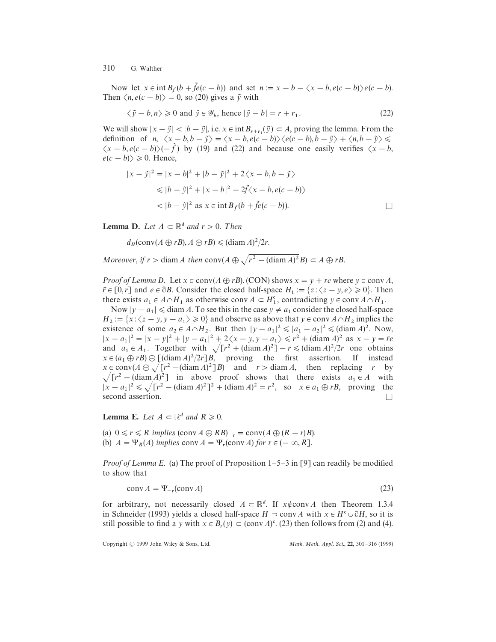Now let  $x \in \text{int } B_f(b + \tilde{f}e(c - b))$  and set  $n := x - b - \langle x - b, e(c - b) \rangle e(c - b)$ . Then  $\langle n, e(c - b) \rangle = 0$ , so (20) gives a  $\tilde{y}$  with

$$
\langle \tilde{y} - b, n \rangle \ge 0
$$
 and  $\tilde{y} \in \mathcal{Y}_b$ , hence  $|\tilde{y} - b| = r + r_1$ . (22)

We will show  $|x - \tilde{y}| < |b - \tilde{y}|$ , i.e.  $x \in \text{int } B_{r+r_1}(\tilde{y}) \subset A$ , proving the lemma. From the definition of *n*,  $\langle x - b, b - \tilde{y} \rangle = \langle x - b, e(c - b) \rangle \langle e(c - b), b - \tilde{y} \rangle + \langle n, b - \tilde{y} \rangle \le$  $\langle x - b, e(c - b) \rangle$  (*f*) by (19) and (22) and because one easily verifies  $\langle x - b, e(c - b) \rangle$  $e(c - b) \ge 0$ . Hence,

$$
|x - \tilde{y}|^2 = |x - b|^2 + |b - \tilde{y}|^2 + 2\langle x - b, b - \tilde{y}\rangle
$$
  
\n
$$
\leq |b - \tilde{y}|^2 + |x - b|^2 - 2\tilde{f}\langle x - b, e(c - b)\rangle
$$
  
\n
$$
< |b - \tilde{y}|^2 \text{ as } x \in \text{int } B_{\tilde{f}}(b + \tilde{f}e(c - b)).
$$

**Lemma D.** Let  $A \subset \mathbb{R}^d$  and  $r > 0$ . Then

 $d_H(\text{conv}(A \oplus rB), A \oplus rB) \leq (\text{diam } A)^2/2r.$ 

*Moreover, if*  $r >$  diam *A then* conv( $A \oplus \sqrt{r^2 - (\text{diam } A)^2B}$ )  $\subset A \oplus rB$ .

*Proof of Lemma D.* Let  $x \in \text{conv}(A \oplus rB)$ . (CON) shows  $x = y + \bar{r}e$  where  $y \in \text{conv } A$ ,  $\overline{r} \in [0, r]$  and  $e \in \partial B$ . Consider the closed half-space  $H_1 := \{z : \langle z - y, e \rangle \geq 0\}$ . Then there exists  $a_1 \in A \cap H_1$  as otherwise conv  $A \subset H_1^c$ , contradicting  $y \in \text{conv } A \cap H_1$ .

Now  $|y - a_1| \leq d$  diam *A*. To see this in the case  $y \neq a_1$  consider the closed half-space  $H_2 := \{x : \langle z - y, y - a_1 \rangle \ge 0\}$  and observe as above that  $y \in \text{conv } A \cap H_2$  implies the  $H_2 := \{x \cdot (z - y, y - a_1) \ge 0\}$  and observe as above that  $y \in \text{conv } A \cap H_2$  in pries the existence of some  $a_2 \in A \cap H_2$ . But then  $|y - a_1|^2 \le |a_1 - a_2|^2 \le (\text{diam } A)^2$ . Now,  $|x - a_1|^2 = |x - y|^2 + |y - a_1|^2 + 2\langle x - y, y - a_1 \rangle \le r^2 + (\text{diam } A)^2 \text{ as } x - y = \bar{r}e$  $|x - a_1| = |x - y| + |y - a_1| + 2\sqrt{x - y}$ ,  $y - a_1$   $\le r + (\text{diam } A)$  as  $x - y = re$ <br>and  $a_1 \in A_1$ . Together with  $\sqrt{r^2 + (\text{diam } A)^2} - r \le (\text{diam } A)^2/2r$  one obtains  $x \in (a_1 \oplus rB) \oplus [(\text{diam } A)^2/2r]B$ , proving the first assertion. If instead  $x \in \text{conv}(A \oplus \sqrt{r^2 - (\text{diam } A)^2}B)$  and  $r > \text{diam } A$ , then replacing *r* by  $\sqrt{r^2 - (\text{diam }A)^2}$  in above proof shows that there exists  $a_1 \in A$  with  $|x - a_1|^2 \le \sqrt{[r^2 - (\text{diam } A)^2]^2 + (\text{diam } A)^2} = r^2$ , so  $x \in a_1 \oplus rB$ , proving the second assertion.

**Lemma E.** Let  $A \subset \mathbb{R}^d$  and  $R \ge 0$ .

(a)  $0 \le r \le R$  implies  $(\text{conv } A \oplus RB)_{-r} = \text{conv}(A \oplus (R - r)B)$ . (b)  $A = \Psi_R(A)$  *implies* conv  $A = \Psi_r(\text{conv }A)$  *for*  $r \in (-\infty, R]$ .

*Proof of Lemma E*. (a) The proof of Proposition 1–5–3 in [9] can readily be modified to show that

$$
conv A = \Psi_{-r}(conv A) \tag{23}
$$

for arbitrary, not necessarily closed  $A \subset \mathbb{R}^d$ . If  $x \notin \text{conv } A$  then Theorem 1.3.4 in Schneider (1993) yields a closed half-space  $H \supset \text{conv } A$  with  $x \in H^c \cup \partial H$ , so it is still possible to find a *y* with  $x \in B_r(y) \subset (\text{conv } A)^c$ . (23) then follows from (2) and (4).

Copyright  $\odot$  1999 John Wiley & Sons, Ltd.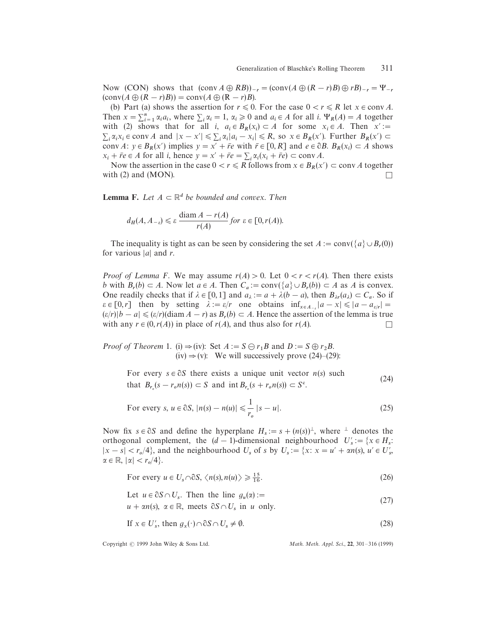Now (CON) shows that  $(\text{conv } A \oplus R B))_{-r} = (\text{conv}(A \oplus (R - r)B) \oplus rB)_{-r} = \Psi_{-r}$  $(\text{conv}(A \oplus (R - r)B)) = \text{conv}(A \oplus (R - r)B).$ 

(b) Part (a) shows the assertion for  $r \le 0$ . For the case  $0 < r \le R$  let  $x \in \text{conv } A$ . Then  $x = \sum_{i=1}^{n} \alpha_i a_i$ , where  $\sum_i \alpha_i = 1$ ,  $\alpha_i \ge 0$  and  $a_i \in A$  for all *i*.  $\Psi_R(A) = A$  together with (2) shows that for all *i*,  $a_i \in B_R(x_i) \subset A$  for some  $x_i \in A$ . Then  $x' :=$  $\sum_i \alpha_i x_i \in \text{conv } A$  and  $|x - x'| \le \sum_i \alpha_i |a_i - x_i| \le R$ , so  $x \in B_R(x')$ . Further  $B_R(x') \subset$ conv *A*:  $y \in B_R(x')$  implies  $y = x' + \bar{r}e$  with  $\bar{r} \in [0, R]$  and  $e \in \partial B$ .  $B_R(x_i) \subset A$  shows  $x_i + \overline{r}e \in A$  for all *i*, hence  $y = x' + \overline{r}e = \sum_i \alpha_i (x_i + \overline{r}e) \subset \text{conv } A$ .

Now the assertion in the case  $0 < r \le R$  follows from  $x \in B_R(x') \subset \text{conv } A$  together with (2) and (MON).  $\square$ 

**Lemma F.** Let  $A \subset \mathbb{R}^d$  be bounded and convex. Then

$$
d_H(A, A_{-\varepsilon}) \leq \varepsilon \frac{\text{diam } A - r(A)}{r(A)} \text{ for } \varepsilon \in [0, r(A)).
$$

The inequality is tight as can be seen by considering the set  $A := \text{conv}(\{a\} \cup B_r(0))$ for various  $|a|$  and *r*.

*Proof of Lemma F.* We may assume  $r(A) > 0$ . Let  $0 < r < r(A)$ . Then there exists *b* with  $B_r(b) \subset A$ . Now let  $a \in A$ . Then  $C_a := \text{conv}(\{a\} \cup B_r(b)) \subset A$  as *A* is convex. One readily checks that if  $\lambda \in [0, 1]$  and  $a_{\lambda} := a + \lambda (b - a)$ , then  $B_{\lambda r}(a_{\lambda}) \subset C_a$ . So if  $\varepsilon \in [0, r]$  then by setting  $\lambda := \varepsilon/r$  one obtains  $\inf_{x \in A_{-s}} |a - x| \le |a - a_{s/r}| =$  $(e \in [0, r])$  then by setting  $\lambda := e/r$  one obtains  $\lim_{x \in A_{r}} |a \lambda| \le |a \lambda|$ <br> $(e/r)|b - a| \le (e/r)(\text{diam } A - r)$  as  $B_r(b) \subset A$ . Hence the assertion of the lemma is true with any  $r \in (0, r(A))$  in place of  $r(A)$ , and thus also for  $r(A)$ .

*Proof of Theorem* 1. (i)  $\Rightarrow$  (iv): Set *A* := *S* $\ominus$  *r*<sub>1</sub>*B* and *D* := *S* $\oplus$  *r*<sub>2</sub>*B*. (iv)  $\Rightarrow$  (v): We will successively prove (24)–(29):

> For every  $s \in \partial S$  there exists a unique unit vector  $n(s)$  such that  $B_{r_o}(s - r_o n(s)) \subset S$  and int  $B_{r_o}(s + r_o n(s)) \subset S^c$  $(24)$

For every 
$$
s, u \in \partial S, |n(s) - n(u)| \leq \frac{1}{r_o} |s - u|.
$$
 (25)

Now fix  $s \in \partial S$  and define the hyperplane  $H_s := s + (n(s))^{\perp}$ , where  $\perp$  denotes the orthogonal complement, the  $(d-1)$ -dimensional neighbourhood  $U'_s := \{x \in H_s :$  $|x - s| < r_o/4$ , and the neighbourhood  $U_s$  of *s* by  $U_s := \{x: x = u' + \alpha n(s), u' \in U'_s\}$  $\alpha \in \mathbb{R}, |\alpha| < r_o/4$ .

For every 
$$
u \in U_s \cap \partial S, \langle n(s), n(u) \rangle \ge \frac{15}{16}
$$
. (26)

Let 
$$
u \in \partial S \cap U_s
$$
. Then the line  $g_u(\alpha) :=$  (27)

$$
u + \alpha n(s), \ \alpha \in \mathbb{R}, \ \text{meets} \ \partial S \cap U_s \ \text{in} \ u \ \text{only.}
$$
 (27)

If 
$$
x \in U'_s
$$
, then  $g_x(\cdot) \cap \partial S \cap U_s \neq \emptyset$ . (28)

Copyright  $\odot$  1999 John Wiley & Sons Ltd.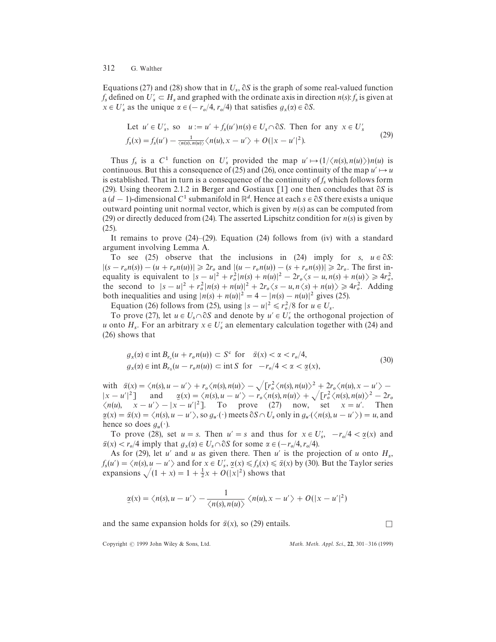Equations (27) and (28) show that in  $U_s$ ,  $\partial S$  is the graph of some real-valued function *f*<sub>s</sub> defined on  $U'_s \subset H_s$  and graphed with the ordinate axis in direction *n*(*s*): *f*<sub>s</sub> is given at  $x \in U'$  as the unique  $\alpha \in (-r_o/4, r_o/4)$  that satisfies  $g_x(\alpha) \in \partial S$ .

Let 
$$
u' \in U'_s
$$
, so  $u := u' + f_s(u')n(s) \in U_s \cap \partial S$ . Then for any  $x \in U'_s$   
\n
$$
f_s(x) = f_s(u') - \frac{1}{\langle n(s), n(u) \rangle} \langle n(u), x - u' \rangle + O(|x - u'|^2).
$$
\n(29)

Thus  $f_s$  is a  $C^1$  function on  $U'_s$  provided the map  $u' \mapsto (1/\langle n(s), n(u) \rangle) n(u)$  is continuous. But this a consequence of (25) and (26), once continuity of the map  $u' \mapsto u$ is established. That in turn is a consequence of the continuity of  $f_s$  which follows form (29). Using theorem 2.1.2 in Berger and Gostiaux  $[1]$  one then concludes that  $\partial S$  is  $a(d-1)$ -dimensional  $C^1$  submanifold in  $\mathbb{R}^d$ . Hence at each  $s \in \partial S$  there exists a unique outward pointing unit normal vector, which is given by *n*(*s*) as can be computed from (29) or directly deduced from (24). The asserted Lipschitz condition for *n*(*s*) is given by (25).

It remains to prove (24)*—*(29). Equation (24) follows from (iv) with a standard argument involving Lemma A.

To see (25) observe that the inclusions in (24) imply for  $s, u \in \partial S$ :  $|(s - r_o n(s)) - (u + r_o n(u))| \ge 2r_o$  and  $|(u - r_o n(u)) - (s + r_o n(s))| \ge 2r_o$ . The first inequality is equivalent to  $|s - u|^2 + r_o^2 |n(s) + n(u)|^2 - 2r_o \langle s - u, n(s) + n(u) \rangle \ge 4r_o^2$ the second to  $|s - u|^2 + r_o^2 |n(s) + n(u)|^2 + 2r_o \langle s - u, n \langle s \rangle + n(u) \rangle \ge 4r_o^2$ . Adding both inequalities and using  $|n(s) + n(u)|^2 = 4 - |n(s) - n(u)|^2$  gives (25).

Equation (26) follows from (25), using  $|s - u|^2 \le r_o^2/8$  for  $u \in U_s$ .

To prove (27), let  $u \in U_s \cap \partial S$  and denote by  $u' \in U'_s$  the orthogonal projection of *u* onto  $H_s$ . For an arbitrary  $x \in U'_s$  an elementary calculation together with (24) and (26) shows that

$$
g_x(\alpha) \in \text{int } B_{r_o}(u + r_o n(u)) \subset S^c \text{ for } \bar{\alpha}(x) < \alpha < r_o/4,
$$
\n
$$
g_x(\alpha) \in \text{int } B_{r_o}(u - r_o n(u)) \subset \text{int } S \text{ for } -r_o/4 < \alpha < \underline{\alpha}(x),
$$
\n
$$
(30)
$$

with  $\bar{\alpha}(x) = \langle n(s), u - u' \rangle + r_o \langle n(s), n(u) \rangle - \sqrt{r_o^2 \langle n(s), n(u) \rangle^2 + 2r_o \langle n(u), x - u' \rangle - 2r_o \langle n(u), x - u' \rangle^2}$  $|x - u'|^2$  and  $\underline{\alpha}(x) = \langle n(s), u - u' \rangle - r_o \langle n(s), n(u) \rangle + \sqrt{r_o^2 \langle n(s), n(u) \rangle^2 - 2r_o^2}$   $\langle n(u), x - u' \rangle - |x - u'|^2$ . To prove (27) now, set  $x = u'$ . Then  $\underline{\alpha}(x) = \overline{\alpha}(x) = \langle n(s), u - u' \rangle$ , so  $g_{u'}(\cdot)$  meets  $\partial S \cap U_s$  only in  $g_{u'}(\langle n(s), u - u' \rangle) = u$ , and ֖֖֪֪֪֪֪֪֪֪֪֪֪֪֪֪ׅ֧֚֚֚֚֚֚֚֚֚֚֚֚֚֚֚֚֚֚֚֚֚֚֚֚֚֚֚֬֡֡֡֡֞֝֬֝֓֡֞֡֡֡ hence so does  $g_u(\cdot)$ .

To prove (28), set  $u = s$ . Then  $u' = s$  and thus for  $x \in U'_s$ ,  $-r_o/4 < \underline{\alpha}(x)$  and  $\bar{\alpha}(x) < r_o/4$  imply that  $g_x(\alpha) \in U_s \cap \partial S$  for some  $\alpha \in (-r_o/4, r_o/4)$ .

As for (29), let *u'* and *u* as given there. Then *u'* is the projection of *u* onto  $H_s$ ,  $f_s(u') = \langle n(s), u - u' \rangle$  and for  $x \in U'_s$ ,  $\underline{\alpha}(x) \leq f_s(x) \leq \overline{\alpha}(x)$  by (30). But the Taylor series expansions  $\sqrt{(1 + x)} = 1 + \frac{1}{2}x + O(|x|^2)$  shows that ֖֪֪ׅ֪֪ׅ֪֪ׅ֚֚֚֚֚֚֚֚֚֚֚֚֚֚֚֚֡֡֡֡֡֡֡֡֡֡֡֡֝֓֡֡֡֝֬

$$
\underline{\alpha}(x) = \langle n(s), u - u' \rangle - \frac{1}{\langle n(s), n(u) \rangle} \langle n(u), x - u' \rangle + O(|x - u'|^2)
$$

and the same expansion holds for  $\bar{\alpha}(x)$ , so (29) entails.

Copyright  $\odot$  1999 John Wiley & Sons, Ltd.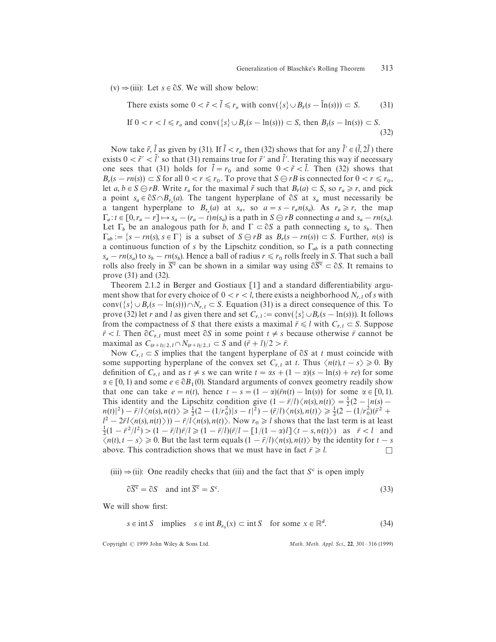$(v) \Rightarrow (iii)$ : Let  $s \in \partial S$ . We will show below:

There exists some 
$$
0 < \tilde{r} < \tilde{l} \leq r_o
$$
 with  $\text{conv}(\{s\} \cup B_{\tilde{r}}(s - \tilde{\ln}(s))) \subset S.$  (31) If  $0 < r < l \leq r_o$  and  $\text{conv}(\{s\} \cup B_r(s - \ln(s))) \subset S$ , then  $B_l(s - \ln(s)) \subset S$ . (32)

Now take  $\tilde{r}$ ,  $\tilde{l}$  as given by (31). If  $\tilde{l} < r_o$ , then (32) shows that for any  $\tilde{l}' \in (\tilde{l}, 2\tilde{l})$  there J exists  $0 < \tilde{r}' < \tilde{l}'$  so that (31) remains true for  $\tilde{r}'$  and  $\tilde{l}'$ . Iterating this way if necessary one sees that (31) holds for  $\tilde{l} = r_0$  and some  $0 < \tilde{r} < \tilde{l}$ . Then (32) shows that J  $B_r(s - rn(s)) \subset S$  for all  $0 < r \le r_0$ . To prove that  $S \ominus rB$  is connected for  $0 < r \le r_0$ , Let  $a, b \in S \ominus rB$ . Write  $r_a$  for the maximal  $\tilde{r}$  such that  $B_{\tilde{r}}(a) \subset S$ , so  $r_a \ge r$ , and pick  $a, b \in S \ominus rB$ . Write  $r_a$  for the maximal  $\tilde{r}$  such that  $B_{\tilde{r}}(a) \subset S$ , so  $r_a \ge r$ , and pick a point  $s_a \in \partial S \cap B_{r_a}(a)$ . The tangent hyperplane of  $\partial S$  at  $s_a$  must necessarily be a tangent hyperplane to  $B_{r_a}(a)$  at  $s_a$ , so  $a = s - r_a n(s_a)$ . As  $r_a \ge r$ , the map  $\Gamma_a: t \in [0, r_a - r] \mapsto s_a - (r_a - t)n(s_a)$  is a path in  $S \ominus rB$  connecting *a* and  $s_a - rn(s_a)$ . Let  $\Gamma_b$  be an analogous path for *b*, and  $\Gamma \subset \partial S$  a path connecting  $s_a$  to  $s_b$ . Then  $\Gamma_{ab} := \{ s - rn(s), s \in \Gamma \}$  is a subset of  $S \ominus rB$  as  $B_r(s - rn(s)) \subset S$ . Further,  $n(s)$  is a continuous function of *s* by the Lipschitz condition, so  $\Gamma_{ab}$  is a path connecting  $s_a - rn(s_a)$  to  $s_b - rn(s_b)$ . Hence a ball of radius  $r \le r_0$  rolls freely in *S*. That such a ball rolls also freely in  $\overline{S}^c$  can be shown in a similar way using  $\partial \overline{S}^c \subset \partial S$ . It remains to prove (31) and (32).

Theorem 2.1.2 in Berger and Gostiaux [1] and a standard differentiability argument show that for every choice of  $0 < r < l$ , there exists a neighborhood  $N_{r,l}$  of *s* with conv $({s} \cup B_r(s - \ln(s))) \cap N_{r,l} \subset S$ . Equation (31) is a direct consequence of this. To prove (32) let *r* and *l* as given there and set  $C_{r,l} := \text{conv}\left(\{s\} \cup B_r(s - \ln(s))\right)$ . It follows from the compactness of *S* that there exists a maximal  $\bar{r} \le l$  with  $C_{\bar{r},l} \subset S$ . Suppose  $\bar{r}$  < *l*. Then  $\partial C_{\bar{r},l}$  must meet  $\partial S$  in some point  $t \neq s$  because otherwise  $\bar{r}$  cannot be ř maximal as  $C_{(\bar{r}+l)/2, l} \cap N_{(\bar{r}+l)/2, l} \subset S$  and  $(\bar{r}+l)/2 > \bar{r}$ . í ŕ ī

Now  $C_{\bar{r},l} \subset S$  implies that the tangent hyperplane of  $\partial S$  at *t* must coincide with some supporting hyperplane of the convex set  $C_{\bar{r},l}$  at *t*. Thus  $\langle n(t), t - s \rangle \ge 0$ . By ľ definition of  $C_{\bar{r},l}$  and as  $t \neq s$  we can write  $t = \alpha s + (1 - \alpha)(s - \ln(s) + re)$  for some ř  $\alpha \in [0, 1)$  and some  $e \in \partial B_1(0)$ . Standard arguments of convex geometry readily show ľ that one can take  $e = n(t)$ , hence  $t - s = (1 - \alpha)(\bar{r}n(t) - \ln(s))$  for some  $\alpha \in [0, 1)$ . This identity and the Lipschitz condition give  $(1 - \bar{r}/l)\langle n(s), n(t) \rangle = \frac{1}{2}(2 - |n(s) - \bar{s}|)$  $n(t)^2 - \frac{r}{l}(\sqrt{r}(s), n(t)) \ge \frac{1}{2}(2 - (1/r_0^2)|s - t|^2) - (r/l)\sqrt{n}(s), n(t) \ge \frac{1}{2}(2 - (1/r_0^2)(r^2 + r^2))$ <br>  $n(t)^2 - 2\sqrt{r}(t) - (t) \sqrt{r}(t) \ge \frac{1}{2}(2 - (1/r_0^2)(r^2 + r^2))$  $l^2 - 2\bar{r}l\langle n(s), n(t) \rangle$ )  $-\bar{r}/l\langle n(s), n(t) \rangle$ . Now  $r_0 \ge l$  shows that the last term is at least  $\frac{1}{2}(1 - \bar{r}^2/l^2) > (1 - \bar{r}/l)\bar{r}/l \geq (1 - \bar{r}/l)(\bar{r}/l - [1/(1 - \alpha)l] \leq t - s, n(t))$  as  $\bar{r} < l$  and  $\langle n(t), t - s \rangle \ge 0$ . But the last term equals  $(1 - \bar{r}/l) \langle n(s), n(t) \rangle$  by the identity for  $t - s$ above. This contradiction shows that we must have in fact  $\bar{r} \ge l$ .

 $(iii) \Rightarrow (ii)$ : One readily checks that (iii) and the fact that *S*<sup>c</sup> is open imply

$$
\partial \overline{S^c} = \partial S \quad \text{and int } \overline{S^c} = S^c. \tag{33}
$$

We will show first:

$$
s \in \text{int } S \quad \text{implies} \quad s \in \text{int } B_{r_0}(x) \subset \text{int } S \quad \text{for some } x \in \mathbb{R}^d. \tag{34}
$$

Copyright  $\odot$  1999 John Wiley & Sons Ltd.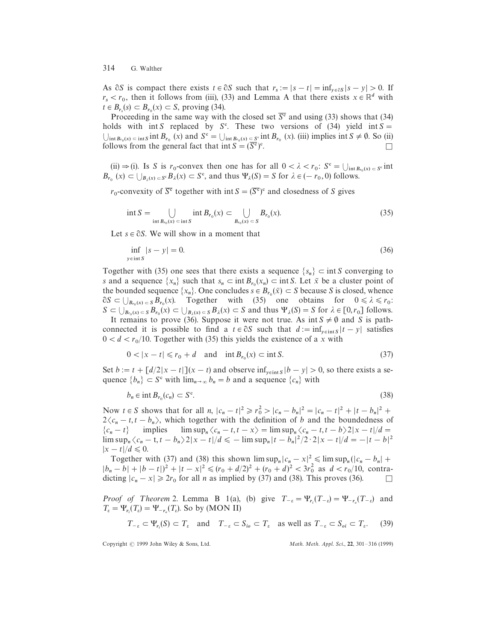As  $\partial S$  is compact there exists  $t \in \partial S$  such that  $r_s := |s - t| = \inf_{y \in \partial S} |s - y| > 0$ . If  $r_s < r_0$ , then it follows from (iii), (33) and Lemma A that there exists  $x \in \mathbb{R}^d$  with  $t \in B_{r_s}(s) \subset B_{r_0}(x) \subset S$ , proving (34).

Proceeding in the same way with the closed set  $\overline{S^c}$  and using (33) shows that (34) holds with int *S* replaced by  $S^c$ . These two versions of (34) yield int  $S =$  $\bigcup_{\text{int }B_{r_0}(x) \subset \text{int }S} \text{int }B_{r_0}(x) \text{ and } S^c = \bigcup_{\text{int }B_{r_0}(x) \subset S^c} \text{int }B_{r_0}(x) \text{ (iii) implies int } S \neq \emptyset.$  So (ii) follows from the general fact that int  $S = (\overline{S^c})^c$ . 

(ii)  $\Rightarrow$  (i). Is *S* is *r*<sub>0</sub>-convex then one has for all  $0 < \lambda < r_0$ :  $S^c = \bigcup_{\text{int } B_{r_0}(x) \subset S^c} \text{int}$  $B_{r_0}(x) \subset \bigcup_{B_\lambda(x) \subset S^c} B_\lambda(x) \subset S^c$ , and thus  $\Psi_\lambda(S) = S$  for  $\lambda \in (-r_0, 0)$  follows.

 $r_0$ -convexity of  $\overline{S}^c$  together with int  $S = (\overline{S}^c)^c$  and closedness of *S* gives

$$
\text{int } S = \bigcup_{\text{int } B_{r_0}(x) \subset \text{int } S} \text{int } B_{r_0}(x) \subset \bigcup_{B_{r_0}(x) \subset S} B_{r_0}(x). \tag{35}
$$

Let  $s \in \partial S$ . We will show in a moment that

$$
\inf_{y \in \text{int } S} |s - y| = 0. \tag{36}
$$

Together with (35) one sees that there exists a sequence  $\{s_n\} \subset \text{int } S$  converging to *s* and a sequence  $\{x_n\}$  such that  $s_n \subset \text{int } B_{r_0}(x_n) \subset \text{int } S$ . Let  $\bar{x}$  be a cluster point of the bounded sequence  $\{x_n\}$ . One concludes  $s \in B_{r_0}(\bar{x}) \subset S$  because *S* is closed, whence  $\partial S \subset \bigcup_{B_{r_0}(x) \subset S} B_{r_0}(x)$ . Together with (35) one obtains for  $0 \le \lambda \le r_0$ .  $S \subset \bigcup_{B_{r_0}(x) \subset S} B_{r_0}(x) \subset \bigcup_{B_{\lambda}(x) \subset S} B_{\lambda}(x) \subset S$  and thus  $\Psi_{\lambda}(S) = S$  for  $\lambda \in [0, r_0]$  follows. It remains to prove (36). Suppose it were not true. As int  $S \neq \emptyset$  and *S* is path-

connected it is possible to find a  $t \in \partial S$  such that  $d := \inf_{y \in \text{int}S} |t - y|$  satisfies  $0 < d < r_0/10$ . Together with (35) this yields the existence of a *x* with

$$
0 < |x - t| \le r_0 + d \quad \text{and} \quad \text{int } B_{r_0}(x) \subset \text{int } S. \tag{37}
$$

Set  $b := t + [d/2|x - t|](x - t)$  and observe  $\inf_{y \in \text{int } S} |b - y| > 0$ , so there exists a sequence  ${b_n} \subset S^c$  with  $\lim_{n\to\infty} b_n = b$  and a sequence  ${c_n}$  with

$$
b_n \in \text{int } B_{r_0}(c_n) \subset S^c. \tag{38}
$$

Now  $t \in S$  shows that for all *n*,  $|c_n - t|^2 \ge r_0^2 > |c_n - b_n|^2 = |c_n - t|^2 + |t - b_n|^2 +$  $2\langle c_n - t, t - b_n \rangle$ , which together with the definition of *b* and the boundedness of  $\{c_n - t\}$  implies  $\limsup_n \langle c_n - t, t - x \rangle = \limsup_n \langle c_n - t, t - b \rangle 2|x - t|/d =$  $\limsup_n {\langle c_n - t, t - b_n \rangle 2|x - t|/d} \le -\limsup_n |t - b_n|^2/2 \cdot 2|x - t|/d = -|t - b|^2$  $|x - t|/d \leq 0.$ 

Together with (37) and (38) this shown  $\limsup_n |c_n - x|^2 \leq \limsup_n (|c_n - b_n| +$  $|b_n - b| + |b - t|$ <sup>2</sup> +  $|t - x|^2 \le (r_0 + d/2)^2 + (r_0 + d)^2 < 3r_0^2$  as  $d < r_0/10$ , contradicting  $|c_n - x| \ge 2r_0$  for all *n* as implied by (37) and (38). This proves (36).

*Proof of Theorem* 2. Lemma B 1(a), (b) give  $T_{-\varepsilon} = \Psi_{r_i}(T_{-\varepsilon}) = \Psi_{-r_o}(T_{-\varepsilon})$  and  $T_{\varepsilon} = \Psi_{r_i}(T_{\varepsilon}) = \Psi_{-r_o}(T_{\varepsilon})$ . So by (MON II)

$$
T_{-\varepsilon} \subset \Psi_{r_i}(S) \subset T_{\varepsilon} \quad \text{and} \quad T_{-\varepsilon} \subset S_{i_0} \subset T_{\varepsilon} \quad \text{as well as } T_{-\varepsilon} \subset S_{oi} \subset T_{\varepsilon}. \tag{39}
$$

Copyright  $\odot$  1999 John Wiley & Sons, Ltd.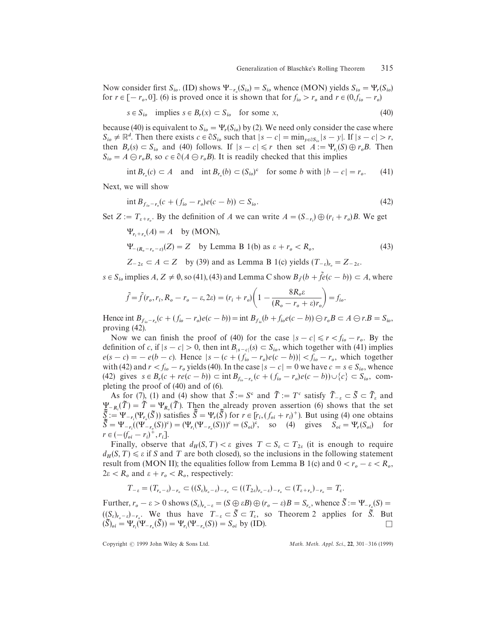Now consider first  $S_{io}$ . (ID) shows  $\Psi_{-r_o}(S_{io}) = S_{io}$  whence (MON) yields  $S_{io} = \Psi_r(S_{io})$ for  $r \in [-r_o, 0]$ . (6) is proved once it is shown that for  $f_{io} > r_o$  and  $r \in (0, f_{io} - r_o)$ 

$$
s \in S_{io} \quad \text{implies } s \in B_r(x) \subset S_{io} \quad \text{for some } x,
$$
\n
$$
(40)
$$

because (40) is equivalent to  $S_{io} = \Psi_r(S_{io})$  by (2). We need only consider the case where  $S_{io} \neq \mathbb{R}^d$ . Then there exists  $c \in \partial S_{io}$  such that  $|s - c| = \min_{y \in \partial S_{io}} |s - y|$ . If  $|s - c| > r$ , then  $B_r(s) \subset S_{i_0}$  and (40) follows. If  $|s - c| \leq r$  then set  $A := \Psi_{r_i}(S) \oplus r_o B$ . Then  $S_{io} = A \bigoplus r_o B$ , so  $c \in \partial (A \bigoplus r_o B)$ . It is readily checked that this implies

int  $B_{r_o}(c) \subset A$  and int  $B_{r_o}(b) \subset (S_{io})^c$  for some *b* with  $|b - c| = r_o$  $(41)$ 

Next, we will show

$$
\int_{f_{io} - r_o}(c + (f_{io} - r_o)e(c - b)) \subset S_{io}.\tag{42}
$$

Set  $Z := T_{\varepsilon+r_o}$ . By the definition of *A* we can write  $A = (S_{-r_i}) \oplus (r_i + r_o)B$ . We get

 $\Psi_{r_i+r_o}(A) = A$  by (MON),  $\Psi_{-(R_o-r_o-\varepsilon)}(Z) = Z$  by Lemma B 1(b) as  $\varepsilon + r_o < R_o$  $(43)$ 

 $Z_{-2\varepsilon} \subset A \subset Z$  by (39) and as Lemma B 1(c) yields  $(T_{-\varepsilon})_{r_o} = Z_{-2\varepsilon}$ .

 $s \in S_{io}$  implies  $A, Z \neq \emptyset$ , so (41), (43) and Lemma C show  $B_{\tilde{f}}(b + \tilde{f}e(c - b)) \subset A$ , where

$$
\tilde{f} = \tilde{f}(r_o, r_i, R_o - r_o - \varepsilon, 2\varepsilon) = (r_i + r_o) \left( 1 - \frac{8R_o \varepsilon}{(R_o - r_o + \varepsilon)r_o} \right) = f_{io}.
$$

Hence int  $B_{f_{io}-r_o}(c + (f_{io}-r_o)e(c-b)) = \text{int } B_{f_{io}}(b + f_{io}e(c-b)) \oplus r_oB \subset A \oplus r.B = S_{io}$ proving (42).

Now we can finish the proof of (40) for the case  $|s - c| \le r < f_{io} - r_o$ . By the definition of *c*, if  $|s - c| > 0$ , then int  $B_{|s-c|}(s) \subset S_{i_0}$ , which together with (41) implies  $e(s - c) = -e(b - c)$ . Hence  $|s - (c + (f_{io} - r_o)e(c - b))| < f_{io} - r_o$ , which together with (42) and  $r < f_{io} - r_o$  yields (40). In the case  $|s - c| = 0$  we have  $c = s \in S_{io}$ , whence  $(42)$  gives  $s \in B_r(c + re(c - b)) \subset \text{int } B_{f_{io} - r_o}(c + (f_{io} - r_o)e(c - b)) \cup \{c\} \subset S_{io}$ , completing the proof of (40) and of (6).

As for (7), (1) and (4) show that  $\tilde{S} := S^c$  and  $\tilde{T} := T^c$  satisfy  $\tilde{T}_{-\varepsilon} \subset \tilde{S} \subset \tilde{T}_{\varepsilon}$  and  $\sum_{i=1}^{N} P_i = \sum_{i=1}^{N} \sum_{i=1}^{N} P_i = \sum_{i=1}^{N} P_i$ . Then the already proven assertion (6) shows that the set  $\overline{S}_{\geq 0}^T := \Psi_{-r_i}(\Psi_{r_o}(\overline{S}))$  satisfies  $\overline{S} = \Psi_r(\overline{S})$  for  $r \in [r_i, (f_{oi} + r_i)^+]$ . But using (4) one obtains  $\overline{S}_{\geq 0}^T := \Psi_{-r_i}(\Psi_{r_o}(\overline{S}))$  satisfies  $\overline{S} = \Psi_r(\overline{S})$  for  $r \in [r_i, (f_{oi} + r_i)^+]$ .  $\tilde{S} = \Psi_{-r_i}(\Psi_{-r_i}(S))$  satisfies  $S = \tau_r(S)$  for  $r \in [r_i, (f_{oi} + r_i)]$ . But using (4) one obtains  $\tilde{S} = \Psi_{-r_i}((\Psi_{-r_i}(S))^c) = (\Psi_{r_i}(\Psi_{-r_i}(S)))^c = (S_{oi})^c$ , so (4) gives  $S_{oi} = \Psi_r(S_{oi})$  for  $r \in (- (f_{oi} - r_i)^+, r_i].$ 

Finally, observe that  $d_H(S, T) < \varepsilon$  gives  $T \subset S_{\varepsilon} \subset T_{2\varepsilon}$  (it is enough to require  $d_H(S, T) \le \varepsilon$  if *S* and *T* are both closed), so the inclusions in the following statement result from (MON II); the equalities follow from Lemma B 1(c) and  $0 < r_o - \varepsilon < R_o$ ,  $2\varepsilon < R_o$  and  $\varepsilon + r_o < R_o$ , respectively:

$$
T_{-\varepsilon} = (T_{r_o - \varepsilon})_{-r_o} \subset ((S_{\varepsilon})_{r_o - \varepsilon})_{-r_o} \subset ((T_{2\varepsilon})_{r_o - \varepsilon})_{-r_o} \subset (T_{\varepsilon + r_o})_{-r_o} = T_{\varepsilon}.
$$

Further,  $r_o - \varepsilon > 0$  shows  $(S_{\varepsilon})_{r_o - \varepsilon} = (S \oplus \varepsilon B) \oplus (r_o - \varepsilon)B = S_{r_o}$ , whence  $\tilde{S} := \Psi_{-r_o}(S) =$  $((S_{\varepsilon})_{r_o} - \varepsilon) - r_o$ . We thus have  $T_{-\varepsilon} \subset \tilde{S} \subset T_{\varepsilon}$ , so Theorem 2 applies for  $\tilde{S}$ . But  $(\widetilde{S})_{oi} = \Psi_{r_i}(\Psi_{-r_o}(\widetilde{S})) = \Psi_{r_i}(\Psi_{-r_o}(S)) = S_{oi}$  by (ID).

Copyright  $\odot$  1999 John Wiley & Sons Ltd.